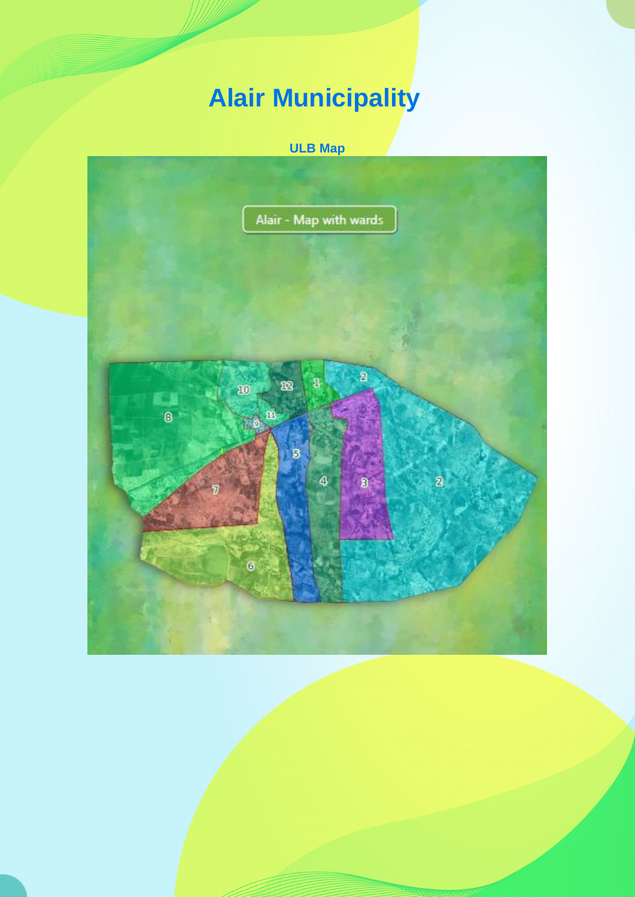## **Alair Municipality**

## **ULB Map**

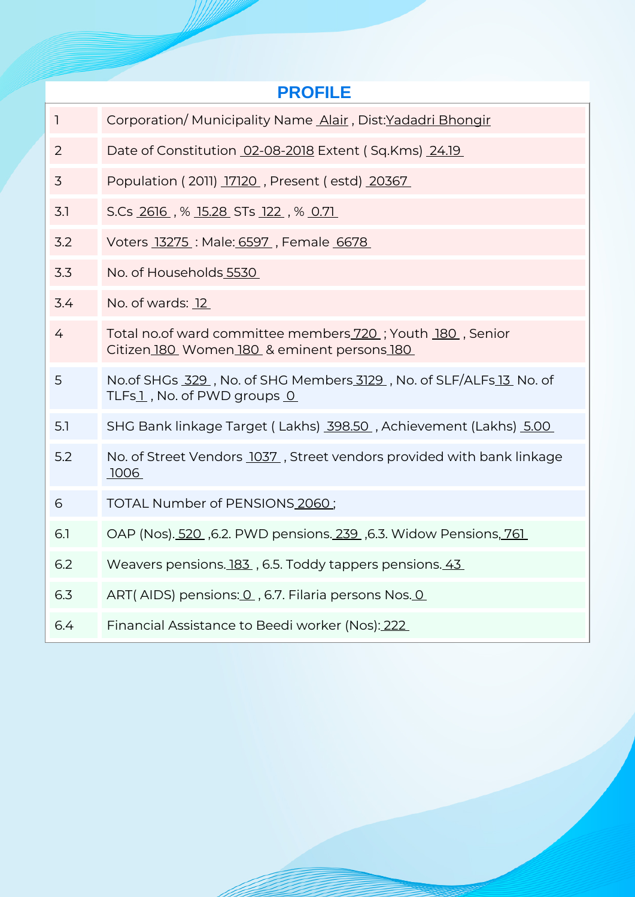| <b>PROFILE</b> |                                                                                                          |  |  |  |  |  |  |
|----------------|----------------------------------------------------------------------------------------------------------|--|--|--|--|--|--|
| $\mathbf{1}$   | Corporation/Municipality Name Alair, Dist:Yadadri Bhongir                                                |  |  |  |  |  |  |
| 2              | Date of Constitution 02-08-2018 Extent (Sq.Kms) 24.19                                                    |  |  |  |  |  |  |
| 3              | Population (2011) 17120, Present (estd) 20367                                                            |  |  |  |  |  |  |
| 3.1            | S.Cs 2616, % 15.28 STs 122, % 0.71                                                                       |  |  |  |  |  |  |
| 3.2            | Voters 13275 : Male: 6597, Female 6678                                                                   |  |  |  |  |  |  |
| 3.3            | No. of Households 5530                                                                                   |  |  |  |  |  |  |
| 3.4            | No. of wards: 12                                                                                         |  |  |  |  |  |  |
| 4              | Total no.of ward committee members 720; Youth 180, Senior<br>Citizen 180 Women 180 & eminent persons 180 |  |  |  |  |  |  |
| 5              | No.of SHGs 329, No. of SHG Members 3129, No. of SLF/ALFs 13 No. of<br>TLFs1, No. of PWD groups 0         |  |  |  |  |  |  |
| 5.1            | SHG Bank linkage Target (Lakhs) 398.50, Achievement (Lakhs) 5.00                                         |  |  |  |  |  |  |
| 5.2            | No. of Street Vendors 1037, Street vendors provided with bank linkage<br><u>.1006</u>                    |  |  |  |  |  |  |
| 6              | TOTAL Number of PENSIONS 2060;                                                                           |  |  |  |  |  |  |
| 6.1            | OAP (Nos). 520, 6.2. PWD pensions. 239, 6.3. Widow Pensions, 761                                         |  |  |  |  |  |  |
| 6.2            | Weavers pensions. 183, 6.5. Toddy tappers pensions. 43                                                   |  |  |  |  |  |  |
| 6.3            | ART(AIDS) pensions: 0, 6.7. Filaria persons Nos. 0                                                       |  |  |  |  |  |  |
| 6.4            | Financial Assistance to Beedi worker (Nos): 222                                                          |  |  |  |  |  |  |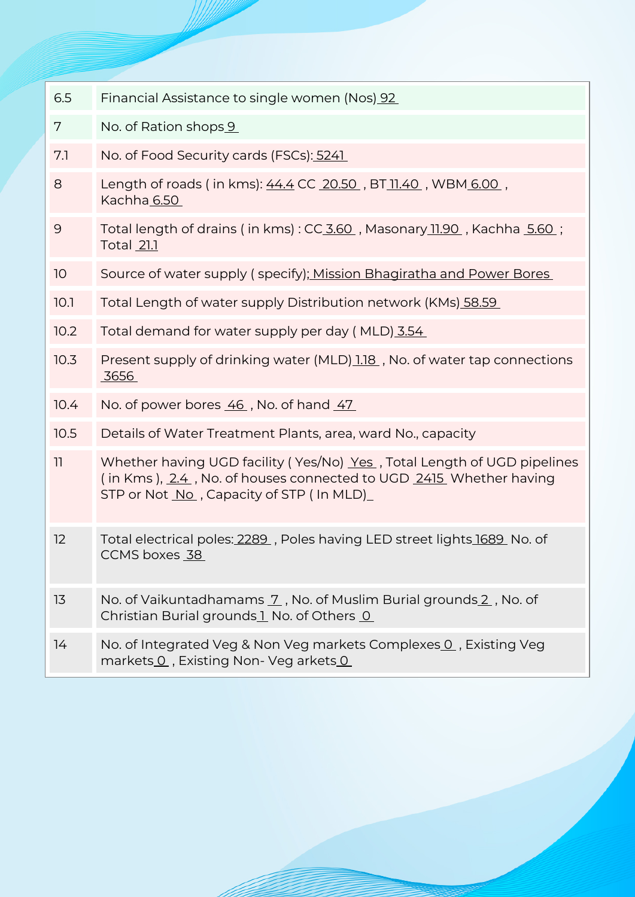| 6.5  | Financial Assistance to single women (Nos) 92                                                                                                                                            |  |  |  |
|------|------------------------------------------------------------------------------------------------------------------------------------------------------------------------------------------|--|--|--|
| 7    | No. of Ration shops 9                                                                                                                                                                    |  |  |  |
| 7.1  | No. of Food Security cards (FSCs): 5241                                                                                                                                                  |  |  |  |
| 8    | Length of roads (in kms): 44.4 CC 20.50, BT 11.40, WBM 6.00,<br>Kachha 6.50                                                                                                              |  |  |  |
| 9    | Total length of drains (in kms): CC 3.60, Masonary 11.90, Kachha 5.60;<br>Total 21.1                                                                                                     |  |  |  |
| 10   | Source of water supply (specify); Mission Bhagiratha and Power Bores                                                                                                                     |  |  |  |
| 10.1 | Total Length of water supply Distribution network (KMs) 58.59                                                                                                                            |  |  |  |
| 10.2 | Total demand for water supply per day (MLD) 3.54                                                                                                                                         |  |  |  |
| 10.3 | Present supply of drinking water (MLD) 1.18, No. of water tap connections<br>3656                                                                                                        |  |  |  |
| 10.4 | No. of power bores 46, No. of hand 47                                                                                                                                                    |  |  |  |
| 10.5 | Details of Water Treatment Plants, area, ward No., capacity                                                                                                                              |  |  |  |
| 11   | Whether having UGD facility (Yes/No) Yes, Total Length of UGD pipelines<br>(in Kms), 2.4, No. of houses connected to UGD 2415 Whether having<br>STP or Not No , Capacity of STP (In MLD) |  |  |  |
| 12   | Total electrical poles: 2289, Poles having LED street lights 1689, No. of<br>CCMS boxes 38                                                                                               |  |  |  |
| 13   | No. of Vaikuntadhamams 7, No. of Muslim Burial grounds 2, No. of<br>Christian Burial grounds 1 No. of Others 0                                                                           |  |  |  |
| 14   | No. of Integrated Veg & Non Veg markets Complexes 0, Existing Veg<br>markets O, Existing Non- Veg arkets O                                                                               |  |  |  |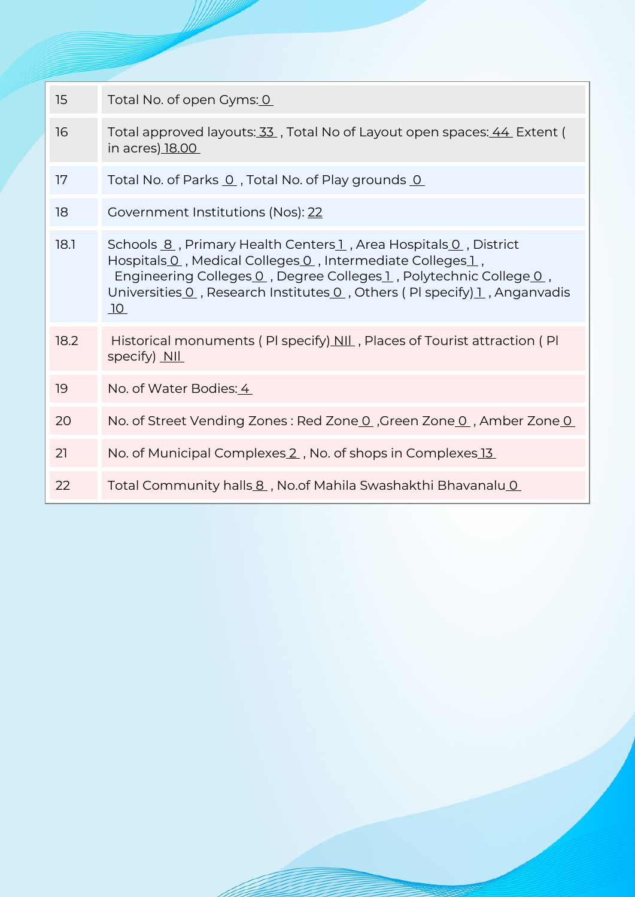| 15   | Total No. of open Gyms: 0                                                                                                                                                                                                                                                                        |
|------|--------------------------------------------------------------------------------------------------------------------------------------------------------------------------------------------------------------------------------------------------------------------------------------------------|
| 16   | Total approved layouts: 33, Total No of Layout open spaces: 44 Extent (<br>in acres <u>) 18.00</u>                                                                                                                                                                                               |
| 17   | Total No. of Parks 0, Total No. of Play grounds 0                                                                                                                                                                                                                                                |
| 18   | Government Institutions (Nos): 22                                                                                                                                                                                                                                                                |
| 18.1 | Schools 8, Primary Health Centers 1, Area Hospitals 0, District<br>Hospitals 0, Medical Colleges 0, Intermediate Colleges 1,<br>Engineering Colleges 0, Degree Colleges 1, Polytechnic College 0,<br>Universities 0, Research Institutes 0, Others (PI specify) 1, Anganvadis<br>10 <sup>°</sup> |
| 18.2 | Historical monuments (PI specify) NII, Places of Tourist attraction (PI<br>specify) NIL                                                                                                                                                                                                          |
| 19   | No. of Water Bodies: 4                                                                                                                                                                                                                                                                           |
| 20   | No. of Street Vending Zones: Red Zone 0, Green Zone 0, Amber Zone 0                                                                                                                                                                                                                              |
| 21   | No. of Municipal Complexes 2, No. of shops in Complexes 13                                                                                                                                                                                                                                       |
| 22   | Total Community halls 8, No.of Mahila Swashakthi Bhavanalu 0                                                                                                                                                                                                                                     |